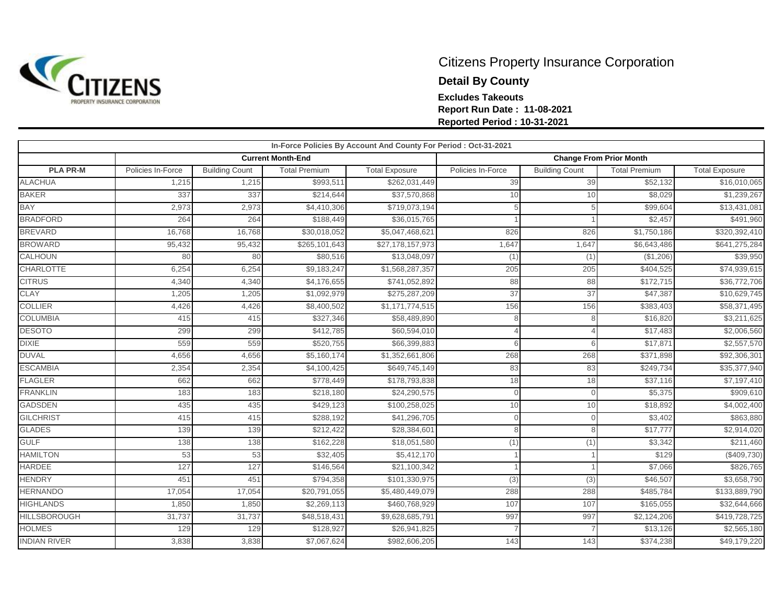

## Citizens Property Insurance Corporation **Detail By County Excludes Takeouts Report Run Date : 11-08-2021 Reported Period : 10-31-2021**

| In-Force Policies By Account And County For Period : Oct-31-2021 |                   |                       |                          |                       |                   |                       |                                |                       |  |  |  |
|------------------------------------------------------------------|-------------------|-----------------------|--------------------------|-----------------------|-------------------|-----------------------|--------------------------------|-----------------------|--|--|--|
|                                                                  |                   |                       | <b>Current Month-End</b> |                       |                   |                       | <b>Change From Prior Month</b> |                       |  |  |  |
| <b>PLA PR-M</b>                                                  | Policies In-Force | <b>Building Count</b> | <b>Total Premium</b>     | <b>Total Exposure</b> | Policies In-Force | <b>Building Count</b> | <b>Total Premium</b>           | <b>Total Exposure</b> |  |  |  |
| <b>ALACHUA</b>                                                   | 1,215             | 1,215                 | \$993,511                | \$262,031,449         | 39                | 39                    | \$52,132                       | \$16,010,065          |  |  |  |
| <b>BAKER</b>                                                     | 337               | 337                   | \$214,644                | \$37,570,868          | 10                | 10                    | \$8,029                        | \$1,239,267           |  |  |  |
| <b>BAY</b>                                                       | 2,973             | 2,973                 | \$4,410,306              | \$719,073,194         |                   |                       | \$99,604                       | \$13,431,081          |  |  |  |
| <b>BRADFORD</b>                                                  | 264               | 264                   | \$188,449                | \$36,015,765          |                   |                       | \$2,457                        | \$491,960             |  |  |  |
| <b>BREVARD</b>                                                   | 16,768            | 16,768                | \$30,018,052             | \$5,047,468,621       | 826               | 826                   | \$1,750,186                    | \$320,392,410         |  |  |  |
| <b>BROWARD</b>                                                   | 95,432            | 95,432                | \$265,101,643            | \$27,178,157,973      | 1,647             | 1,647                 | \$6,643,486                    | \$641,275,284         |  |  |  |
| <b>CALHOUN</b>                                                   | 80                | 80                    | \$80,516                 | \$13,048,097          | (1)               | (1)                   | ( \$1,206)                     | \$39,950              |  |  |  |
| <b>CHARLOTTE</b>                                                 | 6,254             | 6,254                 | \$9,183,247              | \$1,568,287,357       | 205               | 205                   | \$404,525                      | \$74,939,615          |  |  |  |
| <b>CITRUS</b>                                                    | 4,340             | 4,340                 | \$4,176,655              | \$741,052,892         | 88                | 88                    | \$172,715                      | \$36,772,706          |  |  |  |
| <b>CLAY</b>                                                      | 1,205             | 1,205                 | \$1,092,979              | \$275,287,209         | 37                | 37                    | \$47,387                       | \$10,629,745          |  |  |  |
| <b>COLLIER</b>                                                   | 4,426             | 4,426                 | \$8,400,502              | \$1,171,774,515       | 156               | 156                   | \$383,403                      | \$58,371,495          |  |  |  |
| <b>COLUMBIA</b>                                                  | 415               | 415                   | \$327,346                | \$58,489,890          | 8                 | 8                     | \$16,820                       | \$3,211,625           |  |  |  |
| <b>DESOTO</b>                                                    | 299               | 299                   | \$412,785                | \$60,594,010          |                   |                       | \$17,483                       | \$2,006,560           |  |  |  |
| <b>DIXIE</b>                                                     | 559               | 559                   | \$520,755                | \$66,399,883          | 6                 |                       | \$17,871                       | \$2,557,570           |  |  |  |
| <b>DUVAL</b>                                                     | 4,656             | 4,656                 | \$5,160,174              | \$1,352,661,806       | 268               | 268                   | \$371,898                      | \$92,306,301          |  |  |  |
| <b>ESCAMBIA</b>                                                  | 2,354             | 2,354                 | \$4,100,425              | \$649,745,149         | 83                | 83                    | \$249,734                      | \$35,377,940          |  |  |  |
| <b>FLAGLER</b>                                                   | 662               | 662                   | \$778,449                | \$178,793,838         | 18                | 18                    | \$37,116                       | \$7,197,410           |  |  |  |
| <b>FRANKLIN</b>                                                  | 183               | 183                   | \$218,180                | \$24,290,575          | $\cap$            |                       | \$5,375                        | \$909,610             |  |  |  |
| <b>GADSDEN</b>                                                   | 435               | 435                   | \$429,123                | \$100,258,025         | 10                | 10                    | \$18,892                       | \$4,002,400           |  |  |  |
| <b>GILCHRIST</b>                                                 | 415               | 415                   | \$288,192                | \$41,296,705          | $\cap$            |                       | \$3,402                        | \$863,880             |  |  |  |
| <b>GLADES</b>                                                    | 139               | 139                   | \$212,422                | \$28,384,601          | R                 |                       | \$17,777                       | \$2,914,020           |  |  |  |
| <b>GULF</b>                                                      | 138               | 138                   | \$162,228                | \$18,051,580          | (1)               | (1)                   | \$3,342                        | \$211,460             |  |  |  |
| <b>HAMILTON</b>                                                  | 53                | 53                    | \$32,405                 | \$5,412,170           |                   |                       | \$129                          | (\$409,730)           |  |  |  |
| <b>HARDEE</b>                                                    | 127               | 127                   | \$146,564                | \$21,100,342          |                   |                       | \$7,066                        | \$826,765             |  |  |  |
| <b>HENDRY</b>                                                    | 45'               | 451                   | \$794,358                | \$101,330,975         | (3)               | (3)                   | \$46,507                       | \$3,658,790           |  |  |  |
| <b>HERNANDO</b>                                                  | 17,054            | 17,054                | \$20,791,055             | \$5,480,449,079       | 288               | 288                   | \$485,784                      | \$133,889,790         |  |  |  |
| <b>HIGHLANDS</b>                                                 | 1,850             | 1,850                 | \$2,269,113              | \$460,768,929         | 107               | 107                   | \$165,055                      | \$32,644,666          |  |  |  |
| <b>HILLSBOROUGH</b>                                              | 31,737            | 31,737                | \$48,518,431             | \$9,628,685,791       | 997               | 997                   | \$2,124,206                    | \$419,728,725         |  |  |  |
| <b>HOLMES</b>                                                    | 129               | 129                   | \$128,927                | \$26,941,825          |                   |                       | \$13,126                       | \$2,565,180           |  |  |  |
| <b>INDIAN RIVER</b>                                              | 3,838             | 3,838                 | \$7,067,624              | \$982,606,205         | 143               | 143                   | \$374,238                      | \$49,179,220          |  |  |  |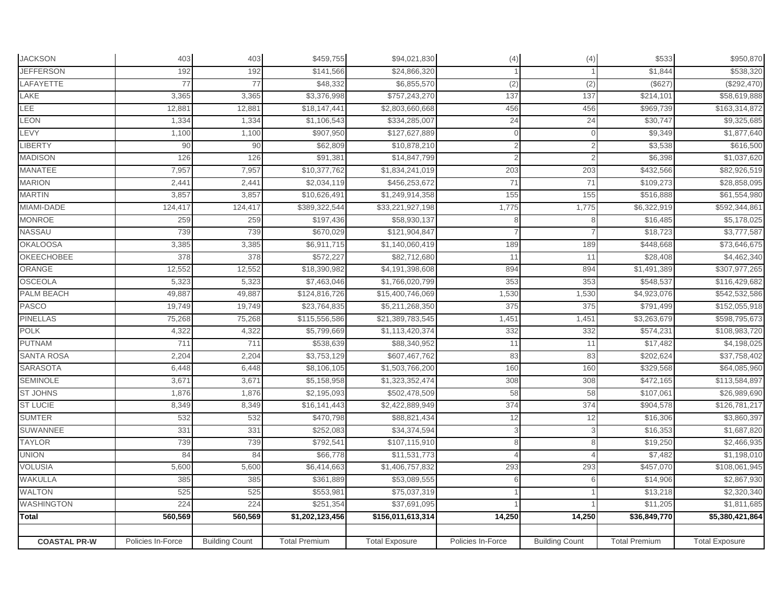| <b>JACKSON</b>      | 403               | 403                   | \$459,755            | \$94,021,830          | (4)               | (4)                   | \$533                | \$950,870             |
|---------------------|-------------------|-----------------------|----------------------|-----------------------|-------------------|-----------------------|----------------------|-----------------------|
| <b>JEFFERSON</b>    | 192               | 192                   | \$141,566            | \$24,866,320          |                   |                       | \$1,844              | \$538,320             |
| LAFAYETTE           | 77                | 77                    | \$48,332             | \$6,855,570           | (2)               | $\overline{2}$        | (\$627               | (\$292,470)           |
| LAKE                | 3,365             | 3,365                 | \$3,376,998          | \$757,243,270         | 137               | 137                   | \$214,101            | \$58,619,888          |
| LEE                 | 12,881            | 12,88'                | \$18,147,441         | \$2,803,660,668       | 456               | 456                   | \$969,739            | \$163,314,872         |
| LEON                | 1,334             | 1,334                 | \$1,106,543          | \$334,285,007         | 24                | 24                    | \$30,747             | \$9,325,685           |
| <b>EVY</b>          | 1,100             | 1,100                 | \$907,950            | \$127,627,889         |                   |                       | \$9,349              | \$1,877,640           |
| <b>LIBERTY</b>      | 90                | 90                    | \$62,809             | \$10,878,210          |                   |                       | \$3,538              | \$616,500             |
| <b>MADISON</b>      | 126               | 126                   | \$91,381             | \$14,847,799          |                   |                       | \$6,398              | \$1,037,620           |
| <b>MANATEE</b>      | 7,957             | 7,957                 | \$10,377,762         | \$1,834,241,019       | 203               | 203                   | \$432,566            | \$82,926,519          |
| <b>MARION</b>       | 2,441             | 2,44'                 | \$2,034,119          | \$456,253,672         | 71                | 71                    | \$109,273            | \$28,858,095          |
| <b>MARTIN</b>       | 3,857             | 3,857                 | \$10,626,49          | \$1,249,914,358       | 155               | 155                   | \$516,888            | \$61,554,980          |
| MIAMI-DADE          | 124,417           | 124,417               | \$389,322,544        | \$33,221,927,198      | 1,775             | 1,775                 | \$6,322,919          | \$592,344,861         |
| <b>MONROE</b>       | 259               | 259                   | \$197,436            | \$58,930,137          |                   |                       | \$16,485             | \$5,178,025           |
| NASSAU              | 739               | 739                   | \$670,029            | \$121,904,847         |                   |                       | \$18,723             | \$3,777,587           |
| <b>OKALOOSA</b>     | 3,385             | 3,385                 | \$6,911,715          | \$1,140,060,419       | 189               | 189                   | \$448,668            | \$73,646,675          |
| <b>OKEECHOBEE</b>   | 378               | 378                   | \$572,227            | \$82,712,680          | 11                | 11                    | \$28,408             | \$4,462,340           |
| ORANGE              | 12,552            | 12,552                | \$18,390,982         | \$4,191,398,608       | 894               | 894                   | \$1,491,389          | \$307,977,265         |
| <b>OSCEOLA</b>      | 5,323             | 5,323                 | \$7,463,046          | \$1,766,020,799       | 353               | 353                   | \$548,537            | \$116,429,682         |
| <b>PALM BEACH</b>   | 49,887            | 49,887                | \$124,816,726        | \$15,400,746,069      | 1,530             | 1,530                 | \$4,923,076          | \$542,532,586         |
| PASCO               | 19,749            | 19,749                | \$23,764,835         | \$5,211,268,350       | 375               | 375                   | \$791,499            | \$152,055,918         |
| <b>PINELLAS</b>     | 75,268            | 75,268                | \$115,556,586        | \$21,389,783,545      | 1,451             | 1,451                 | \$3,263,679          | \$598,795,673         |
| POLK                | 4,322             | 4,322                 | \$5,799,669          | \$1,113,420,374       | 332               | 332                   | \$574,231            | \$108,983,720         |
| <b>PUTNAM</b>       | 711               | 711                   | \$538,639            | \$88,340,952          | 11                | 11                    | \$17,482             | \$4,198,025           |
| <b>SANTA ROSA</b>   | 2,204             | 2,204                 | \$3,753,129          | \$607,467,762         | 83                | 83                    | \$202,624            | \$37,758,402          |
| <b>SARASOTA</b>     | 6,448             | 6,448                 | \$8,106,105          | \$1,503,766,200       | 160               | 160                   | \$329,568            | \$64,085,960          |
| <b>SEMINOLE</b>     | 3,671             | 3,671                 | \$5,158,958          | \$1,323,352,474       | 308               | 308                   | \$472,165            | \$113,584,897         |
| <b>ST JOHNS</b>     | 1,876             | 1,876                 | \$2,195,093          | \$502,478,509         | 58                | 58                    | \$107,061            | \$26,989,690          |
| <b>ST LUCIE</b>     | 8,349             | 8,349                 | \$16,141,443         | \$2,422,889,949       | 374               | 374                   | \$904,578            | \$126,781,217         |
| <b>SUMTER</b>       | 532               | 532                   | \$470,798            | \$88,821,434          | 12                | 12                    | \$16,306             | \$3,860,397           |
| <b>SUWANNEE</b>     | 331               | 33'                   | \$252,083            | \$34,374,594          |                   |                       | \$16,353             | \$1,687,820           |
| <b>TAYLOR</b>       | 739               | 739                   | \$792,541            | \$107,115,910         |                   |                       | \$19,250             | \$2,466,935           |
| <b>UNION</b>        | 84                | 84                    | \$66,778             | \$11,531,773          |                   |                       | \$7,482              | \$1,198,010           |
| <b>VOLUSIA</b>      | 5,600             | 5,600                 | \$6,414,663          | \$1,406,757,832       | 293               | 293                   | \$457,070            | \$108,061,945         |
| WAKULLA             | 385               | 385                   | \$361,889            | \$53,089,555          |                   | 6                     | \$14,906             | \$2,867,930           |
| <b>WALTON</b>       | 525               | 525                   | \$553,98             | \$75,037,319          |                   |                       | \$13,218             | \$2,320,340           |
| <b>WASHINGTON</b>   | 224               | 224                   | \$251,354            | \$37,691,095          |                   |                       | \$11,205             | \$1,811,685           |
| Total               | 560,569           | 560,569               | \$1,202,123,456      | \$156,011,613,314     | 14,250            | 14,250                | \$36,849,770         | \$5,380,421,864       |
|                     |                   |                       |                      |                       |                   |                       |                      |                       |
| <b>COASTAL PR-W</b> | Policies In-Force | <b>Building Count</b> | <b>Total Premium</b> | <b>Total Exposure</b> | Policies In-Force | <b>Building Count</b> | <b>Total Premium</b> | <b>Total Exposure</b> |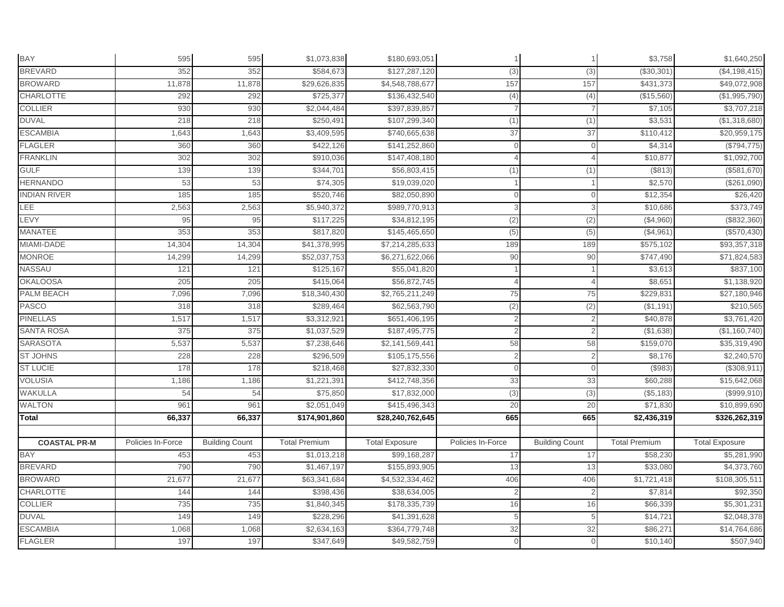| <b>BAY</b>          | 595               | 595                   | \$1,073,838          | \$180,693,051         |                   |                       | \$3,758              | \$1,640,250           |
|---------------------|-------------------|-----------------------|----------------------|-----------------------|-------------------|-----------------------|----------------------|-----------------------|
| <b>BREVARD</b>      | 352               | 352                   | \$584,673            | \$127,287,120         | (3)               | (3)                   | (\$30,301            | (\$4,198,415)         |
| <b>BROWARD</b>      | 11,878            | 11,878                | \$29,626,835         | \$4,548,788,677       | 157               | 157                   | \$431,373            | \$49,072,908          |
| <b>CHARLOTTE</b>    | 292               | 292                   | \$725,377            | \$136,432,540         | (4)               | (4)                   | (\$15,560)           | (\$1,995,790)         |
| <b>COLLIER</b>      | 930               | 930                   | \$2,044,484          | \$397,839,857         |                   |                       | \$7,105              | \$3,707,218           |
| <b>DUVAL</b>        | 218               | 218                   | \$250,491            | \$107,299,340         | (1)               | (1)                   | \$3,531              | (\$1,318,680)         |
| <b>ESCAMBIA</b>     | 1,643             | 1,643                 | \$3,409,595          | \$740,665,638         | 37                | 37                    | \$110,412            | \$20,959,175          |
| <b>FLAGLER</b>      | 360               | 360                   | \$422,126            | \$141,252,860         | $\Omega$          | $\mathbf 0$           | \$4,314              | (\$794,775)           |
| <b>FRANKLIN</b>     | 302               | 302                   | \$910,036            | \$147,408,180         |                   |                       | \$10,87              | \$1,092,700           |
| <b>GULF</b>         | 139               | 139                   | \$344,701            | \$56,803,415          | (1)               | (1)                   | (\$813)              | (\$581,670)           |
| <b>HERNANDO</b>     | 53                | 53                    | \$74,305             | \$19,039,020          |                   |                       | \$2,570              | (\$261,090)           |
| <b>INDIAN RIVER</b> | 185               | 185                   | \$520,746            | \$82,050,890          |                   |                       | \$12,354             | \$26,420              |
| <b>LEE</b>          | 2,563             | 2,563                 | \$5,940,372          | \$989,770,913         | 3                 |                       | \$10,686             | \$373,749             |
| LEVY                | 95                | 95                    | \$117,225            | \$34,812,195          | (2)               | (2)                   | (\$4,960)            | (\$832,360)           |
| <b>MANATEE</b>      | 353               | 353                   | \$817,820            | \$145,465,650         | (5)               | (5)                   | (\$4,961)            | (\$570,430)           |
| MIAMI-DADE          | 14,304            | 14,304                | \$41,378,995         | \$7,214,285,633       | 189               | 189                   | \$575,102            | \$93,357,318          |
| <b>MONROE</b>       | 14,299            | 14,299                | \$52,037,753         | \$6,271,622,066       | 90                | 90                    | \$747,490            | \$71,824,583          |
| NASSAU              | 121               | 121                   | \$125,167            | \$55,041,820          |                   |                       | \$3,613              | \$837,100             |
| <b>OKALOOSA</b>     | 205               | 205                   | \$415,064            | \$56,872,745          |                   |                       | \$8,651              | \$1,138,920           |
| <b>PALM BEACH</b>   | 7,096             | 7,096                 | \$18,340,430         | \$2,765,211,249       | 75                | 75                    | \$229.83'            | \$27,180,946          |
| <b>PASCO</b>        | 318               | 318                   | \$289,464            | \$62,563,790          | (2)               | (2)                   | (\$1,191)            | \$210,565             |
| <b>PINELLAS</b>     | 1,517             | 1,517                 | \$3,312,921          | \$651,406,195         | $\overline{2}$    | $\overline{2}$        | \$40,878             | \$3,761,420           |
| <b>SANTA ROSA</b>   | 375               | 375                   | \$1,037,529          | \$187,495,775         | 2                 | $\overline{2}$        | ( \$1,638)           | (\$1,160,740)         |
| <b>SARASOTA</b>     | 5,537             | 5,537                 | \$7,238,646          | \$2,141,569,441       | 58                | 58                    | \$159,070            | \$35,319,490          |
| <b>ST JOHNS</b>     | 228               | 228                   | \$296,509            | \$105,175,556         |                   |                       | \$8,176              | \$2,240,570           |
| <b>ST LUCIE</b>     | 178               | 178                   | \$218,468            | \$27,832,330          | $\Omega$          | $\Omega$              | (\$983)              | (\$308,911)           |
| <b>VOLUSIA</b>      | 1,186             | 1,186                 | \$1,221,391          | \$412,748,356         | 33                | 33                    | \$60,288             | \$15,642,068          |
| <b>WAKULLA</b>      | 54                | 54                    | \$75,850             | \$17,832,000          | (3)               | (3)                   | (\$5,183)            | (\$999,910)           |
| <b>WALTON</b>       | 961               | 961                   | \$2,051,049          | \$415,496,343         | 20                | 20                    | \$71,830             | \$10,899,690          |
| <b>Total</b>        | 66,337            | 66,337                | \$174,901,860        | \$28,240,762,645      | 665               | 665                   | \$2,436,319          | \$326,262,319         |
|                     |                   |                       |                      |                       |                   |                       |                      |                       |
| <b>COASTAL PR-M</b> | Policies In-Force | <b>Building Count</b> | <b>Total Premium</b> | <b>Total Exposure</b> | Policies In-Force | <b>Building Count</b> | <b>Total Premium</b> | <b>Total Exposure</b> |
| <b>BAY</b>          | 453               | 453                   | \$1,013,218          | \$99,168,287          | 17                | 17                    | \$58,230             | \$5,281,990           |
| <b>BREVARD</b>      | 790               | 790                   | \$1,467,197          | \$155,893,905         | 13                | 13                    | \$33,080             | \$4,373,760           |
| <b>BROWARD</b>      | 21,677            | 21,677                | \$63,341,684         | \$4,532,334,462       | 406               | 406                   | \$1,721,418          | \$108,305,511         |
| <b>CHARLOTTE</b>    | 144               | 144                   | \$398,436            | \$38,634,005          | 2                 | 2                     | \$7,814              | \$92,350              |
| <b>COLLIER</b>      | 735               | 735                   | \$1,840,345          | \$178,335,739         | 16                | 16                    | \$66,339             | \$5,301,231           |
| <b>DUVAL</b>        | 149               | 149                   | \$228,296            | \$41,391,628          | 5                 | 5                     | \$14,721             | \$2,048,378           |
| <b>ESCAMBIA</b>     | 1,068             | 1,068                 | \$2,634,163          | \$364,779,748         | 32                | 32                    | \$86,27              | \$14,764,686          |
| <b>FLAGLER</b>      | 197               | 197                   | \$347,649            | \$49,582,759          |                   |                       | \$10,140             | \$507,940             |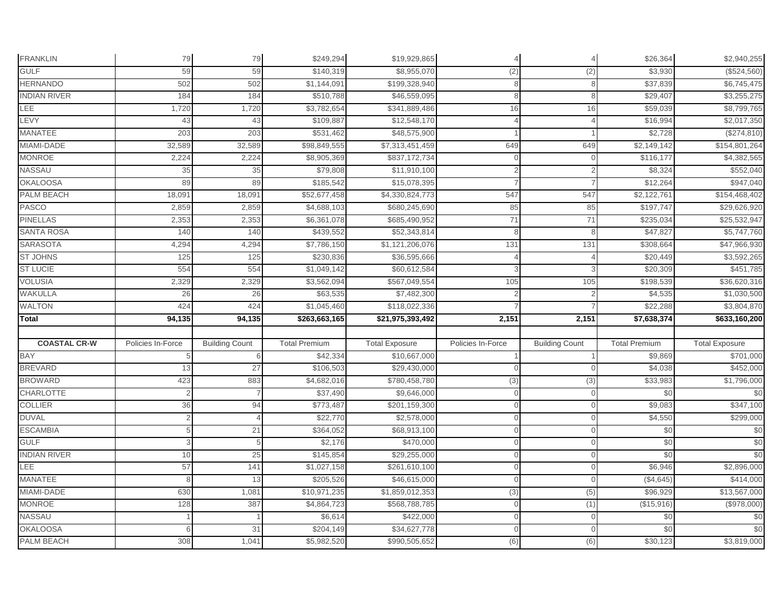| <b>FRANKLIN</b>     | 79                | 79                    | \$249,294            | \$19,929,865          |                   |                       | \$26,364             | \$2,940,255           |
|---------------------|-------------------|-----------------------|----------------------|-----------------------|-------------------|-----------------------|----------------------|-----------------------|
| <b>GULF</b>         | 59                | 59                    | \$140,319            | \$8,955,070           | (2)               | (2)                   | \$3,930              | (\$524,560)           |
| <b>HERNANDO</b>     | 502               | 502                   | \$1,144,091          | \$199,328,940         | 8                 | 8                     | \$37,839             | \$6,745,475           |
| <b>INDIAN RIVER</b> | 184               | 184                   | \$510,788            | \$46,559,095          |                   | 8                     | \$29,407             | \$3,255,275           |
| LEE                 | 1,720             | 1,720                 | \$3,782,654          | \$341,889,486         | 16                | 16                    | \$59,039             | \$8,799,765           |
| LEVY                | 43                | 43                    | \$109,887            | \$12,548,170          |                   |                       | \$16,994             | \$2,017,350           |
| MANATEE             | 203               | 203                   | \$531,462            | \$48,575,900          |                   |                       | \$2,728              | (\$274,810)           |
| MIAMI-DADE          | 32,589            | 32,589                | \$98,849,555         | \$7,313,451,459       | 649               | 649                   | \$2,149,142          | \$154,801,264         |
| <b>MONROE</b>       | 2,224             | 2,224                 | \$8,905,369          | \$837,172,734         |                   |                       | \$116,177            | \$4,382,565           |
| NASSAU              | 35                | 35                    | \$79,808             | \$11,910,100          |                   |                       | \$8,324              | \$552,040             |
| <b>OKALOOSA</b>     | 89                | 89                    | \$185,542            | \$15,078,395          |                   |                       | \$12,264             | \$947,040             |
| PALM BEACH          | 18,091            | 18,09'                | \$52,677,458         | \$4,330,824,773       | 547               | 547                   | \$2,122,76           | \$154,468,402         |
| <b>PASCO</b>        | 2,859             | 2,859                 | \$4,688,103          | \$680,245,690         | 85                | 85                    | \$197,747            | \$29,626,920          |
| <b>PINELLAS</b>     | 2,353             | 2,353                 | \$6,361,078          | \$685,490,952         | 71                | 71                    | \$235,034            | \$25,532,947          |
| <b>SANTA ROSA</b>   | 140               | 140                   | \$439,552            | \$52,343,814          | 8                 | 8                     | \$47,827             | \$5,747,760           |
| <b>SARASOTA</b>     | 4,294             | 4,294                 | \$7,786,150          | \$1,121,206,076       | 131               | 131                   | \$308,664            | \$47,966,930          |
| <b>ST JOHNS</b>     | 125               | 125                   | \$230,836            | \$36,595,666          |                   |                       | \$20,449             | \$3,592,265           |
| <b>ST LUCIE</b>     | 554               | 554                   | \$1,049,142          | \$60,612,584          |                   |                       | \$20,309             | \$451,785             |
| <b>VOLUSIA</b>      | 2,329             | 2,329                 | \$3,562,094          | \$567,049,554         | 105               | 105                   | \$198,539            | \$36,620,316          |
| WAKULLA             | 26                | 26                    | \$63,535             | \$7,482,300           |                   |                       | \$4,535              | \$1,030,500           |
| WALTON              | 424               | 424                   | \$1,045,460          | \$118,022,336         |                   |                       | \$22,288             | \$3,804,870           |
| Total               | 94,135            | 94,135                | \$263,663,165        | \$21,975,393,492      | 2,151             | 2,151                 | \$7,638,374          | \$633,160,200         |
|                     |                   |                       |                      |                       |                   |                       |                      |                       |
| <b>COASTAL CR-W</b> | Policies In-Force | <b>Building Count</b> | <b>Total Premium</b> | <b>Total Exposure</b> | Policies In-Force | <b>Building Count</b> | <b>Total Premium</b> | <b>Total Exposure</b> |
| <b>BAY</b>          |                   |                       | \$42,334             | \$10,667,000          |                   |                       | \$9,869              | \$701,000             |
| <b>BREVARD</b>      | 13                | 27                    | \$106,503            | \$29,430,000          |                   | $\cap$                | \$4,038              | \$452,000             |
| <b>BROWARD</b>      | 423               | 883                   | \$4,682,016          | \$780,458,780         | (3)               | (3)                   | \$33,983             | \$1,796,000           |
| <b>CHARLOTTE</b>    |                   |                       | \$37,490             | \$9,646,000           |                   |                       | \$0                  | \$0                   |
| <b>COLLIER</b>      | 36                | 94                    | \$773,487            | \$201,159,300         |                   | $\Omega$              | \$9,083              | \$347,100             |
| <b>DUVAL</b>        | $\overline{2}$    |                       | \$22,770             | \$2,578,000           | $\Omega$          | $\mathbf{0}$          | \$4,550              | \$299,000             |
| <b>ESCAMBIA</b>     | 5                 | 21                    | \$364,052            | \$68,913,100          |                   | $\Omega$              | \$0                  | $\frac{6}{3}$         |
| <b>GULF</b>         | 3                 | 5                     | \$2,176              | \$470,000             |                   | $\Omega$              | \$0                  | \$0                   |
| <b>INDIAN RIVER</b> | 10                | 25                    | \$145,854            | \$29,255,000          |                   | $\Omega$              | \$0                  | \$0                   |
| LEE                 | 57                | 141                   | \$1,027,158          | \$261,610,100         |                   | $\Omega$              | \$6,946              | \$2,896,000           |
| <b>MANATEE</b>      |                   | 13                    | \$205,526            | \$46,615,000          |                   | $\Omega$              | (\$4,645)            | \$414,000             |
| MIAMI-DADE          | 630               | 1,081                 | \$10,971,235         | \$1,859,012,353       | (3)               | (5)                   | \$96,929             | \$13,567,000          |
| <b>MONROE</b>       | 128               | 387                   | \$4,864,723          | \$568,788,785         |                   | (1)                   | (\$15,916)           | (\$978,000)           |
| NASSAU              |                   |                       | \$6,614              | \$422,000             | $\cap$            | $\Omega$              | \$0                  | $\frac{6}{3}$         |
| <b>OKALOOSA</b>     |                   | 31                    | \$204,149            | \$34,627,778          |                   | $\Omega$              | \$0                  | \$0                   |
| PALM BEACH          |                   |                       | \$5,982,520          | \$990,505,652         |                   | (6)                   | \$30,123             | \$3,819,000           |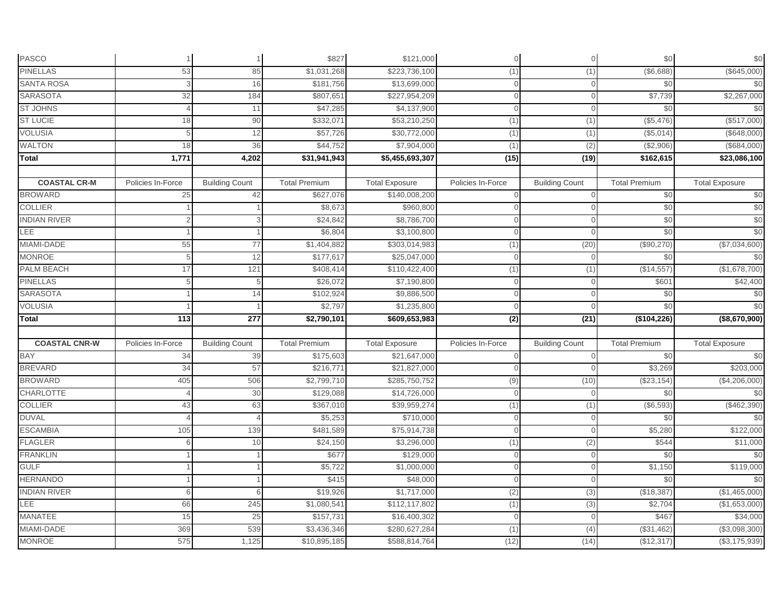| <b>PASCO</b>         |                   |                       | \$827                | \$121,000             | $\Omega$          | $\mathbf 0$           | \$0                  | $$0$$                 |
|----------------------|-------------------|-----------------------|----------------------|-----------------------|-------------------|-----------------------|----------------------|-----------------------|
| <b>PINELLAS</b>      | 53                | 85                    | \$1,031,268          | \$223,736,100         | (1)               | (1)                   | (\$6,688)            | (\$645,000)           |
| <b>SANTA ROSA</b>    |                   | 16                    | \$181,756            | \$13,699,000          | $\Omega$          | $\Omega$              | \$0                  | \$0                   |
| <b>SARASOTA</b>      | 32                | 184                   | \$807,651            | \$227,954,209         | $\Omega$          | $\Omega$              | \$7,739              | \$2,267,000           |
| <b>ST JOHNS</b>      |                   | 11                    | \$47,285             | \$4,137,900           | $\Omega$          | $\Omega$              | \$0                  | \$0                   |
| <b>ST LUCIE</b>      | 18                | 90                    | \$332,071            | \$53,210,250          | (1)               | (1)                   | (\$5,476)            | (\$517,000)           |
| <b>VOLUSIA</b>       |                   | 12                    | \$57,726             | \$30,772,000          | (1)               | (1)                   | (\$5,014)            | (\$648,000)           |
| <b>WALTON</b>        | 18                | 36                    | \$44,752             | \$7,904,000           | (1)               | (2)                   | (\$2,906)            | (\$684,000)           |
| Total                | 1,771             | 4,202                 | \$31,941,943         | \$5,455,693,307       | (15)              | (19)                  | \$162,615            | \$23,086,100          |
|                      |                   |                       |                      |                       |                   |                       |                      |                       |
| <b>COASTAL CR-M</b>  | Policies In-Force | <b>Building Count</b> | <b>Total Premium</b> | <b>Total Exposure</b> | Policies In-Force | <b>Building Count</b> | <b>Total Premium</b> | <b>Total Exposure</b> |
| <b>BROWARD</b>       | 25                | 42                    | \$627,076            | \$140,008,200         | $\Omega$          | $\overline{0}$        | \$0                  | \$0                   |
| <b>COLLIER</b>       |                   |                       | \$8,673              | \$960,800             | $\overline{0}$    | $\Omega$              | \$0                  | \$0                   |
| <b>INDIAN RIVER</b>  |                   |                       | \$24,842             | \$8,786,700           | $\Omega$          | $\Omega$              | \$0                  | \$0                   |
| LEE                  |                   |                       | \$6,804              | \$3,100,800           | $\Omega$          | $\Omega$              | \$0                  | \$0                   |
| MIAMI-DADE           | 55                | 77                    | \$1,404,882          | \$303,014,983         | (1)               | (20)                  | (\$90,270)           | (\$7,034,600)         |
| <b>MONROE</b>        | 5                 | 12                    | \$177,617            | \$25,047,000          | $\mathbf{0}$      | $\Omega$              | \$0                  | \$0                   |
| <b>PALM BEACH</b>    | 17                | 121                   | \$408,414            | \$110,422,400         | (1)               | (1)                   | (\$14,557            | (\$1,678,700)         |
| <b>PINELLAS</b>      | 5                 | 5                     | \$26,072             | \$7,190,800           | $\overline{0}$    | $\overline{0}$        | \$60'                | \$42,400              |
| <b>SARASOTA</b>      |                   | 14                    | \$102,924            | \$9,886,500           | $\Omega$          | $\Omega$              | \$0                  | \$0                   |
| <b>VOLUSIA</b>       |                   |                       | \$2,797              | \$1,235,800           | $\Omega$          | $\Omega$              | \$0                  | \$0                   |
| <b>Total</b>         | 113               | 277                   | \$2,790,101          | \$609,653,983         | (2)               | (21)                  | (\$104,226)          | (\$8,670,900)         |
|                      |                   |                       |                      |                       |                   |                       |                      |                       |
| <b>COASTAL CNR-W</b> | Policies In-Force | <b>Building Count</b> | <b>Total Premium</b> | <b>Total Exposure</b> | Policies In-Force | <b>Building Count</b> | <b>Total Premium</b> | <b>Total Exposure</b> |
| <b>BAY</b>           | 34                | 39                    | \$175,603            | \$21,647,000          | $\Omega$          | $\cap$                | \$0                  | \$0                   |
| <b>BREVARD</b>       | 34                | 57                    | \$216,771            | \$21,827,000          | $\Omega$          | $\cap$                | \$3,269              | \$203,000             |
| <b>BROWARD</b>       | 405               | 506                   | \$2,799,710          | \$285,750,752         | (9)               | (10)                  | (\$23,154)           | (\$4,206,000)         |
| <b>CHARLOTTE</b>     |                   | 30                    | \$129,088            | \$14,726,000          | $\Omega$          | $\Omega$              | \$0                  | \$0                   |
| <b>COLLIER</b>       | 43                | 63                    | \$367,010            | \$39,959,274          | (1)               | (1)                   | (\$6,593)            | (\$462,390)           |
| <b>DUVAL</b>         |                   | 4                     | \$5,253              | \$710,000             | $\overline{0}$    | $\overline{0}$        | \$0                  | \$0                   |
| <b>ESCAMBIA</b>      | 105               | 139                   | \$481,589            | \$75,914,738          | $\Omega$          | $\Omega$              | \$5,280              | \$122,000             |
| <b>FLAGLER</b>       |                   | 10                    | \$24,150             | \$3,296,000           | (1)               | (2)                   | \$544                | \$11,000              |
| <b>FRANKLIN</b>      |                   |                       | \$677                | \$129,000             | $\Omega$          | $\Omega$              | \$0                  | \$0                   |
| <b>GULF</b>          |                   |                       | \$5,722              | \$1,000,000           | $\Omega$          | $\Omega$              | \$1,150              | \$119,000             |
| <b>HERNANDO</b>      |                   |                       | \$415                | \$48,000              | $\Omega$          | $\Omega$              | \$0                  | \$0                   |
| <b>INDIAN RIVER</b>  | 6                 | 6                     | \$19,926             | \$1,717,000           | (2)               | (3)                   | (\$18,387            | (\$1,465,000)         |
| LEE                  | 66                | 245                   | \$1,080,541          | \$112,117,802         | (1)               | (3)                   | \$2,704              | (\$1,653,000)         |
| MANATEE              | 15                | 25                    | \$157,731            | \$16,400,302          | $\Omega$          | $\Omega$              | \$467                | \$34,000              |
| MIAMI-DADE           | 369               | 539                   | \$3,436,346          | \$280,627,284         | (1)               | (4)                   | (\$31,462)           | (\$3,098,300)         |
| <b>MONROE</b>        | 575               | 1,125                 | \$10,895,185         | \$588,814,764         | (12)              | (14)                  | (\$12,317)           | (\$3,175,939)         |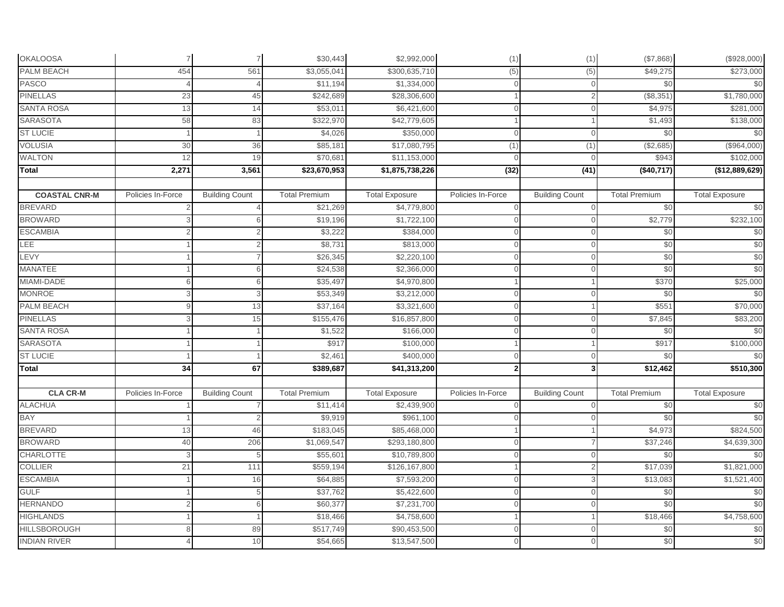| <b>OKALOOSA</b>      | $\overline{7}$    | $\overline{7}$        | \$30,443             | \$2,992,000           | (1)               | (1)                     | (\$7,868)            | (\$928,000)           |
|----------------------|-------------------|-----------------------|----------------------|-----------------------|-------------------|-------------------------|----------------------|-----------------------|
| PALM BEACH           | 454               | 561                   | \$3,055,041          | \$300,635,710         | (5)               | (5)                     | \$49,275             | \$273,000             |
| <b>PASCO</b>         |                   |                       | \$11,194             | \$1,334,000           | $\Omega$          | $\overline{0}$          | \$0                  | \$0                   |
| <b>PINELLAS</b>      | 23                | 45                    | \$242,689            | \$28,306,600          |                   | $\mathcal{P}$           | (\$8,351             | \$1,780,000           |
| <b>SANTA ROSA</b>    | 13                | 14                    | \$53,011             | \$6,421,600           | $\overline{O}$    | $\Omega$                | \$4,975              | \$281,000             |
| SARASOTA             | 58                | 83                    | \$322,970            | \$42,779,605          |                   |                         | \$1,493              | \$138,000             |
| <b>ST LUCIE</b>      |                   |                       | \$4,026              | \$350,000             | $\overline{0}$    | $\overline{0}$          | \$0                  | \$0                   |
| <b>VOLUSIA</b>       | 30                | 36                    | \$85,181             | \$17,080,795          | (1)               | (1)                     | (\$2,685)            | (\$964,000)           |
| WALTON               | 12                | 19                    | \$70,681             | \$11,153,000          | $\overline{0}$    | $\cap$                  | \$943                | \$102,000             |
| <b>Total</b>         | 2,271             | 3,561                 | \$23,670,953         | \$1,875,738,226       | (32)              | $\overline{(41)}$       | (\$40,717)           | (\$12,889,629)        |
| <b>COASTAL CNR-M</b> | Policies In-Force | <b>Building Count</b> | <b>Total Premium</b> | <b>Total Exposure</b> | Policies In-Force | <b>Building Count</b>   | <b>Total Premium</b> | <b>Total Exposure</b> |
| <b>BREVARD</b>       |                   |                       | \$21,269             | \$4,779,800           |                   | $\cap$                  | \$0                  | \$0                   |
| <b>BROWARD</b>       |                   |                       | \$19,196             | \$1,722,100           | $\Omega$          | $\Omega$                | \$2,779              | \$232,100             |
| <b>ESCAMBIA</b>      |                   |                       | \$3,222              | \$384,000             | $\Omega$          | $\Omega$                | \$0                  | \$0                   |
| <b>LEE</b>           |                   |                       | \$8,731              | \$813,000             | $\Omega$          | $\Omega$                | \$0                  | \$0                   |
| LEVY                 |                   |                       | \$26,345             | \$2,220,100           | $\Omega$          | $\Omega$                | \$0                  | \$0                   |
| <b>MANATEE</b>       |                   | $\epsilon$            | \$24,538             | \$2,366,000           | $\Omega$          | $\Omega$                | \$0                  | \$0                   |
| MIAMI-DADE           | 6                 | 6                     | \$35,497             | \$4,970,800           |                   |                         | \$370                | \$25,000              |
| <b>MONROE</b>        |                   | 3                     | \$53,349             | \$3,212,000           | $\overline{0}$    | $\Omega$                | \$0                  | \$0                   |
| PALM BEACH           |                   | 13                    | \$37,164             | \$3,321,600           | $\Omega$          |                         | \$551                | \$70,000              |
| <b>PINELLAS</b>      |                   | 15                    | \$155,476            | \$16,857,800          | $\overline{0}$    | $\overline{0}$          | \$7,845              | \$83,200              |
| <b>SANTA ROSA</b>    |                   |                       | \$1,522              | \$166,000             | $\overline{0}$    | $\Omega$                | \$0                  | \$0                   |
| <b>SARASOTA</b>      |                   |                       | \$917                | \$100,000             |                   |                         | \$917                | \$100,000             |
| <b>ST LUCIE</b>      |                   |                       | \$2,461              | \$400,000             | $\Omega$          | $\Omega$                | \$0                  | \$0                   |
| <b>Total</b>         | 34                | 67                    | \$389,687            | \$41,313,200          | 2 <sup>1</sup>    | $\overline{\mathbf{3}}$ | \$12,462             | \$510,300             |
| <b>CLA CR-M</b>      | Policies In-Force | <b>Building Count</b> | <b>Total Premium</b> | <b>Total Exposure</b> | Policies In-Force | <b>Building Count</b>   | <b>Total Premium</b> | <b>Total Exposure</b> |
| <b>ALACHUA</b>       |                   |                       | \$11,414             | \$2,439,900           | $\Omega$          | $\Omega$                | \$0                  | \$0                   |
| <b>BAY</b>           |                   |                       | \$9,919              | \$961,100             | $\overline{0}$    | $\overline{0}$          | \$0                  | \$0                   |
| <b>BREVARD</b>       | 13                | 46                    | \$183,045            | \$85,468,000          |                   |                         | \$4,973              | \$824,500             |
| <b>BROWARD</b>       | 40                | 206                   | \$1,069,547          | \$293,180,800         | $\Omega$          |                         | \$37,246             | \$4,639,300           |
| <b>CHARLOTTE</b>     |                   |                       | \$55,601             | \$10,789,800          | $\Omega$          | $\Omega$                | \$0                  | \$0                   |
| <b>COLLIER</b>       | 21                | 111                   | \$559,194            | \$126,167,800         |                   | $\overline{2}$          | \$17,039             | \$1,821,000           |
| <b>ESCAMBIA</b>      |                   | 16                    | \$64,885             | \$7,593,200           | $\mathbf{O}$      | 3                       | \$13,083             | \$1,521,400           |
| <b>GULF</b>          |                   | 5                     | \$37,762             | \$5,422,600           | $\Omega$          | $\Omega$                | \$0                  | \$0                   |
| <b>HERNANDO</b>      |                   | 6                     | \$60,377             | \$7,231,700           | $\overline{0}$    | $\overline{0}$          | \$0                  | \$0                   |
| <b>HIGHLANDS</b>     |                   |                       | \$18,466             | \$4,758,600           |                   |                         | \$18,466             | \$4,758,600           |
| <b>HILLSBOROUGH</b>  |                   | 89                    | \$517,749            | \$90,453,500          | $\mathbf{O}$      | $\Omega$                | \$0                  | \$0                   |
| <b>INDIAN RIVER</b>  |                   | 10                    | \$54,665             | \$13,547,500          | $\Omega$          | $\Omega$                | \$0                  | \$0                   |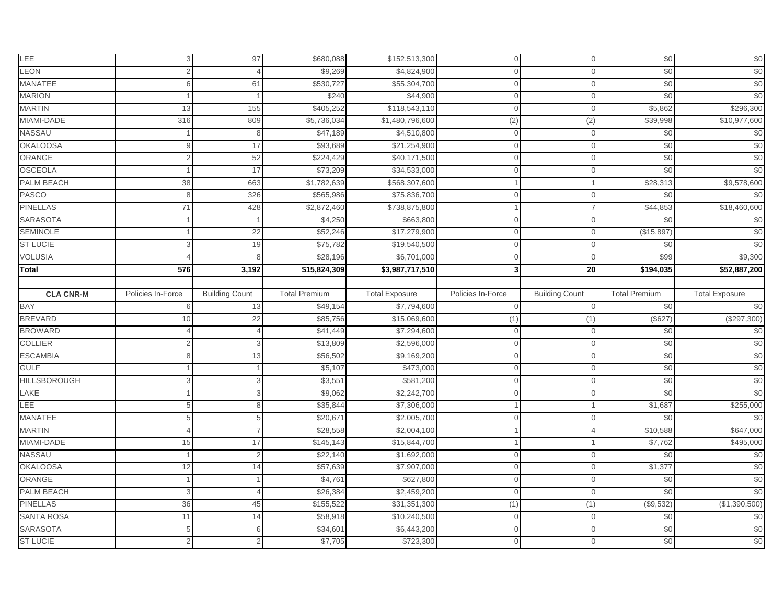| LEE                                | 3                 | 97                    | \$680,088            | \$152,513,300            | $\Omega$          | $\mathbf 0$           | \$0                  | $$0$                        |
|------------------------------------|-------------------|-----------------------|----------------------|--------------------------|-------------------|-----------------------|----------------------|-----------------------------|
| LEON                               | $\overline{2}$    |                       | \$9,269              | \$4,824,900              | Λ                 | $\Omega$              | \$0                  | \$0                         |
| <b>MANATEE</b>                     | 6                 | 61                    | \$530,727            | \$55,304,700             |                   | $\Omega$              | \$0                  | \$0                         |
| <b>MARION</b>                      |                   |                       | \$240                | \$44,900                 | Λ                 | $\Omega$              | \$0                  | \$0                         |
| <b>MARTIN</b>                      | 13                | 155                   | \$405,252            | \$118,543,110            |                   | $\Omega$              | \$5,862              | \$296,300                   |
| MIAMI-DADE                         | 316               | 809                   | \$5,736,034          | \$1,480,796,600          | (2)               | (2)                   | \$39,998             | \$10,977,600                |
| NASSAU                             |                   |                       | \$47,189             | \$4,510,800              |                   | 0                     | \$0                  | \$0                         |
| <b>OKALOOSA</b>                    |                   | 17                    | \$93,689             | \$21,254,900             | $\cap$            | $\mathbf 0$           | \$0                  | \$0                         |
| ORANGE                             | $\overline{2}$    | 52                    | \$224,429            | \$40,171,500             |                   | $\Omega$              | \$0                  | \$0                         |
| <b>OSCEOLA</b>                     |                   | 17                    | \$73,209             | \$34,533,000             |                   | $\Omega$              | \$0                  | \$0                         |
| PALM BEACH                         | 38                | 663                   | \$1,782,639          | \$568,307,600            |                   |                       | \$28,313             | \$9,578,600                 |
| <b>PASCO</b>                       | 8                 | 326                   | \$565,986            | \$75,836,700             |                   | $\Omega$              | \$0                  | \$0                         |
| <b>PINELLAS</b>                    | 71                | 428                   | \$2,872,460          | \$738,875,800            |                   |                       | \$44,853             | \$18,460,600                |
| <b>SARASOTA</b>                    |                   |                       | \$4,250              | \$663,800                | $\Omega$          | $\Omega$              | \$0                  | \$0                         |
| <b>SEMINOLE</b>                    |                   | 22                    | \$52,246             | \$17,279,900             | $\Omega$          | $\mathbf 0$           | (\$15,897)           | \$0                         |
| <b>ST LUCIE</b>                    |                   | 19                    | \$75,782             | \$19,540,500             |                   | $\Omega$              | \$0                  | \$0                         |
| <b>VOLUSIA</b>                     |                   |                       | \$28,196             | \$6,701,000              |                   | $\Omega$              | \$99                 | \$9,300                     |
| Total                              | 576               | 3,192                 | \$15,824,309         | \$3,987,717,510          |                   | 20                    | \$194,035            | \$52,887,200                |
|                                    |                   |                       |                      |                          |                   |                       |                      |                             |
| <b>CLA CNR-M</b>                   | Policies In-Force | <b>Building Count</b> | <b>Total Premium</b> | <b>Total Exposure</b>    | Policies In-Force | <b>Building Count</b> | <b>Total Premium</b> | <b>Total Exposure</b>       |
| <b>BAY</b>                         |                   | 13                    | \$49,154             | \$7,794,600              |                   | $\Omega$              | \$0                  | \$0                         |
| <b>BREVARD</b>                     | 10                | 22                    | \$85,756             | \$15,069,600             | (1)               | (1)                   | (\$627)              | (\$297,300)                 |
| <b>BROWARD</b>                     |                   |                       | \$41,449             | \$7,294,600              | $\Omega$          | $\mathbf 0$           | \$0                  | \$0                         |
| <b>COLLIER</b>                     |                   |                       | \$13,809             | \$2,596,000              |                   | $\Omega$              | \$0                  | \$0                         |
| <b>ESCAMBIA</b>                    |                   | 13                    | \$56,502             | \$9,169,200              |                   | $\Omega$              | \$0                  | \$0                         |
| <b>GULF</b>                        |                   |                       | \$5,107              | \$473,000                | $\cap$            | $\mathbf{0}$          | \$0                  | \$0                         |
| <b>HILLSBOROUGH</b>                |                   | 3                     | \$3,551              | \$581,200                |                   | $\Omega$              | \$0                  | \$0                         |
| LAKE                               |                   |                       | \$9,062              | \$2,242,700              |                   | $\Omega$              | \$0                  | \$0                         |
| LEE                                |                   | 8                     | \$35,844             | \$7,306,000              |                   |                       | \$1,687              | \$255,000                   |
| MANATEE                            | 5                 | 5                     | \$20,671             | \$2,005,700              | $\cap$            | $\Omega$              | \$0                  | \$0                         |
| <b>MARTIN</b>                      |                   |                       | \$28,558             | \$2,004,100              |                   |                       | \$10,588             | \$647,000                   |
| MIAMI-DADE                         | 15                | 17                    | \$145,143            | \$15,844,700             |                   |                       | \$7,762              | \$495,000                   |
| NASSAU                             |                   | $\mathfrak{p}$        | \$22,140             | \$1,692,000              |                   | $\Omega$              | \$0                  | \$0                         |
| <b>OKALOOSA</b>                    |                   |                       |                      |                          |                   |                       |                      |                             |
| ORANGE                             | 12                | 14                    | \$57,639             | \$7,907,000              |                   | $\Omega$              | \$1,377              | \$0                         |
|                                    |                   |                       | \$4,761              | \$627,800                |                   | $\Omega$              | \$0                  |                             |
| PALM BEACH                         | 3                 |                       | \$26,384             | \$2,459,200              |                   | $\Omega$              | \$0                  |                             |
| <b>PINELLAS</b>                    | 36                | 45                    | \$155,522            | \$31,351,300             | (1)               | (1)                   | (\$9,532)            | \$0<br>\$0<br>(\$1,390,500) |
| <b>SANTA ROSA</b>                  | 11                | 14                    | \$58,918             | \$10,240,500             |                   | $\Omega$              | \$0                  | \$0                         |
| <b>SARASOTA</b><br><b>ST LUCIE</b> | 5                 | հ                     | \$34,60'<br>\$7,705  | \$6,443,200<br>\$723,300 |                   | $\Omega$              | \$0<br>\$0           | \$0<br>\$0                  |